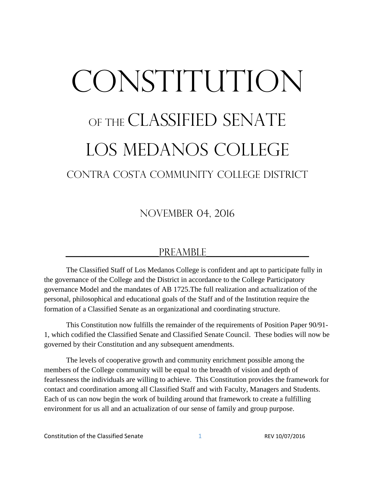# CONSTITUTION OF THE CLASSIFIED SENATE Los medanos college Contra costa community college district

November 04, 2016

#### PREAMBLE

The Classified Staff of Los Medanos College is confident and apt to participate fully in the governance of the College and the District in accordance to the College Participatory governance Model and the mandates of AB 1725.The full realization and actualization of the personal, philosophical and educational goals of the Staff and of the Institution require the formation of a Classified Senate as an organizational and coordinating structure.

This Constitution now fulfills the remainder of the requirements of Position Paper 90/91- 1, which codified the Classified Senate and Classified Senate Council. These bodies will now be governed by their Constitution and any subsequent amendments.

The levels of cooperative growth and community enrichment possible among the members of the College community will be equal to the breadth of vision and depth of fearlessness the individuals are willing to achieve. This Constitution provides the framework for contact and coordination among all Classified Staff and with Faculty, Managers and Students. Each of us can now begin the work of building around that framework to create a fulfilling environment for us all and an actualization of our sense of family and group purpose.

Constitution of the Classified Senate 1 1 REV 10/07/2016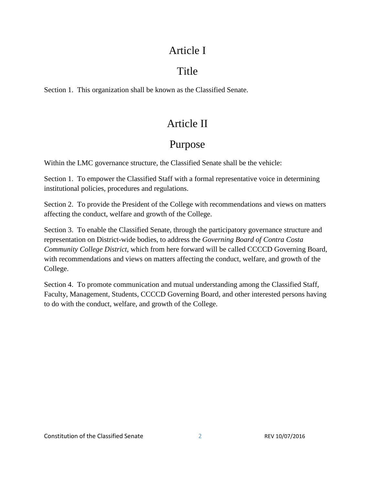#### Article I

# Title

Section 1. This organization shall be known as the Classified Senate.

# Article II

#### Purpose

Within the LMC governance structure, the Classified Senate shall be the vehicle:

Section 1. To empower the Classified Staff with a formal representative voice in determining institutional policies, procedures and regulations.

Section 2. To provide the President of the College with recommendations and views on matters affecting the conduct, welfare and growth of the College.

Section 3. To enable the Classified Senate, through the participatory governance structure and representation on District-wide bodies, to address the *Governing Board of Contra Costa Community College District,* which from here forward will be called CCCCD Governing Board, with recommendations and views on matters affecting the conduct, welfare, and growth of the College.

Section 4. To promote communication and mutual understanding among the Classified Staff, Faculty, Management, Students, CCCCD Governing Board, and other interested persons having to do with the conduct, welfare, and growth of the College.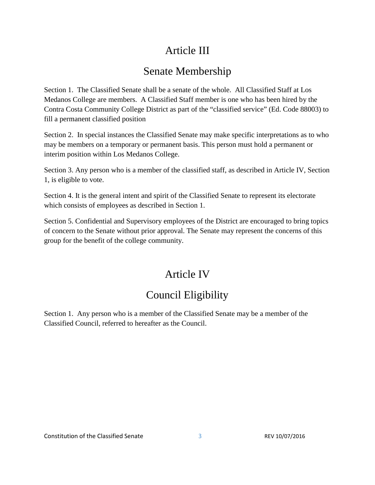# Article III

# Senate Membership

Section 1. The Classified Senate shall be a senate of the whole. All Classified Staff at Los Medanos College are members. A Classified Staff member is one who has been hired by the Contra Costa Community College District as part of the "classified service" (Ed. Code 88003) to fill a permanent classified position

Section 2. In special instances the Classified Senate may make specific interpretations as to who may be members on a temporary or permanent basis. This person must hold a permanent or interim position within Los Medanos College.

Section 3. Any person who is a member of the classified staff, as described in Article IV, Section 1, is eligible to vote.

Section 4. It is the general intent and spirit of the Classified Senate to represent its electorate which consists of employees as described in Section 1.

Section 5. Confidential and Supervisory employees of the District are encouraged to bring topics of concern to the Senate without prior approval. The Senate may represent the concerns of this group for the benefit of the college community.

# Article IV

# Council Eligibility

Section 1. Any person who is a member of the Classified Senate may be a member of the Classified Council, referred to hereafter as the Council.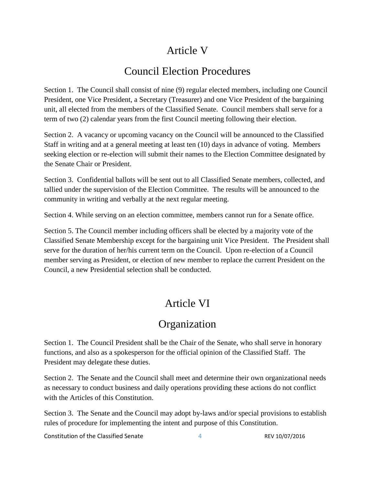# Article V

# Council Election Procedures

Section 1. The Council shall consist of nine (9) regular elected members, including one Council President, one Vice President, a Secretary (Treasurer) and one Vice President of the bargaining unit, all elected from the members of the Classified Senate. Council members shall serve for a term of two (2) calendar years from the first Council meeting following their election.

Section 2. A vacancy or upcoming vacancy on the Council will be announced to the Classified Staff in writing and at a general meeting at least ten (10) days in advance of voting. Members seeking election or re-election will submit their names to the Election Committee designated by the Senate Chair or President.

Section 3. Confidential ballots will be sent out to all Classified Senate members, collected, and tallied under the supervision of the Election Committee. The results will be announced to the community in writing and verbally at the next regular meeting.

Section 4. While serving on an election committee, members cannot run for a Senate office.

Section 5. The Council member including officers shall be elected by a majority vote of the Classified Senate Membership except for the bargaining unit Vice President. The President shall serve for the duration of her/his current term on the Council. Upon re-election of a Council member serving as President, or election of new member to replace the current President on the Council, a new Presidential selection shall be conducted.

# Article VI

#### **Organization**

Section 1. The Council President shall be the Chair of the Senate, who shall serve in honorary functions, and also as a spokesperson for the official opinion of the Classified Staff. The President may delegate these duties.

Section 2. The Senate and the Council shall meet and determine their own organizational needs as necessary to conduct business and daily operations providing these actions do not conflict with the Articles of this Constitution.

Section 3. The Senate and the Council may adopt by-laws and/or special provisions to establish rules of procedure for implementing the intent and purpose of this Constitution.

Constitution of the Classified Senate 4 All 4 REV 10/07/2016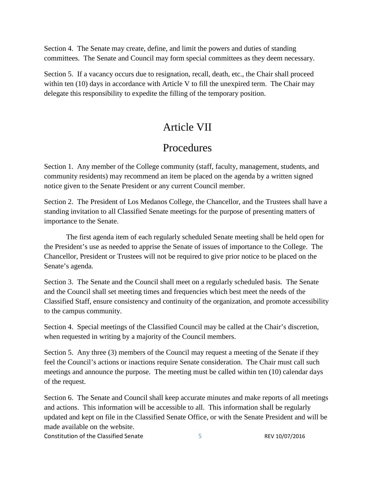Section 4. The Senate may create, define, and limit the powers and duties of standing committees. The Senate and Council may form special committees as they deem necessary.

Section 5. If a vacancy occurs due to resignation, recall, death, etc., the Chair shall proceed within ten (10) days in accordance with Article V to fill the unexpired term. The Chair may delegate this responsibility to expedite the filling of the temporary position.

#### Article VII

#### Procedures

Section 1. Any member of the College community (staff, faculty, management, students, and community residents) may recommend an item be placed on the agenda by a written signed notice given to the Senate President or any current Council member.

Section 2. The President of Los Medanos College, the Chancellor, and the Trustees shall have a standing invitation to all Classified Senate meetings for the purpose of presenting matters of importance to the Senate.

The first agenda item of each regularly scheduled Senate meeting shall be held open for the President's use as needed to apprise the Senate of issues of importance to the College. The Chancellor, President or Trustees will not be required to give prior notice to be placed on the Senate's agenda.

Section 3. The Senate and the Council shall meet on a regularly scheduled basis. The Senate and the Council shall set meeting times and frequencies which best meet the needs of the Classified Staff, ensure consistency and continuity of the organization, and promote accessibility to the campus community.

Section 4. Special meetings of the Classified Council may be called at the Chair's discretion, when requested in writing by a majority of the Council members.

Section 5. Any three (3) members of the Council may request a meeting of the Senate if they feel the Council's actions or inactions require Senate consideration. The Chair must call such meetings and announce the purpose. The meeting must be called within ten (10) calendar days of the request.

Section 6. The Senate and Council shall keep accurate minutes and make reports of all meetings and actions. This information will be accessible to all. This information shall be regularly updated and kept on file in the Classified Senate Office, or with the Senate President and will be made available on the website.

Constitution of the Classified Senate 5 8 REV 10/07/2016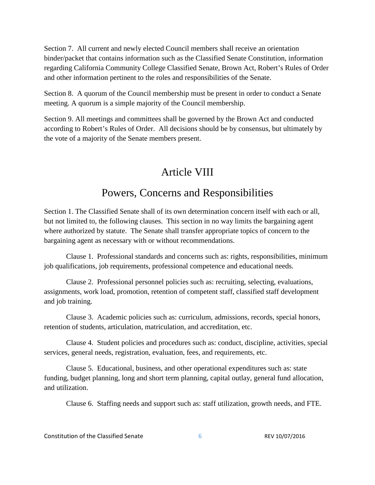Section 7. All current and newly elected Council members shall receive an orientation binder/packet that contains information such as the Classified Senate Constitution, information regarding California Community College Classified Senate, Brown Act, Robert's Rules of Order and other information pertinent to the roles and responsibilities of the Senate.

Section 8. A quorum of the Council membership must be present in order to conduct a Senate meeting. A quorum is a simple majority of the Council membership.

Section 9. All meetings and committees shall be governed by the Brown Act and conducted according to Robert's Rules of Order. All decisions should be by consensus, but ultimately by the vote of a majority of the Senate members present.

# Article VIII

#### Powers, Concerns and Responsibilities

Section 1. The Classified Senate shall of its own determination concern itself with each or all, but not limited to, the following clauses. This section in no way limits the bargaining agent where authorized by statute. The Senate shall transfer appropriate topics of concern to the bargaining agent as necessary with or without recommendations.

Clause 1. Professional standards and concerns such as: rights, responsibilities, minimum job qualifications, job requirements, professional competence and educational needs.

Clause 2. Professional personnel policies such as: recruiting, selecting, evaluations, assignments, work load, promotion, retention of competent staff, classified staff development and job training.

Clause 3. Academic policies such as: curriculum, admissions, records, special honors, retention of students, articulation, matriculation, and accreditation, etc.

Clause 4. Student policies and procedures such as: conduct, discipline, activities, special services, general needs, registration, evaluation, fees, and requirements, etc.

Clause 5. Educational, business, and other operational expenditures such as: state funding, budget planning, long and short term planning, capital outlay, general fund allocation, and utilization.

Clause 6. Staffing needs and support such as: staff utilization, growth needs, and FTE.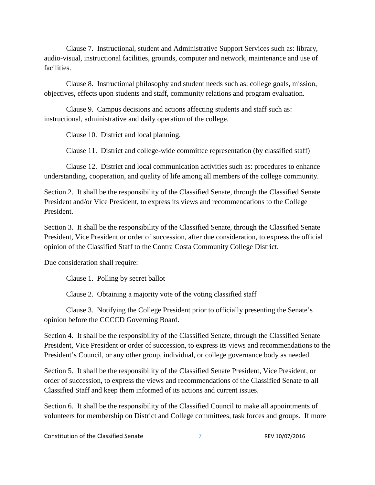Clause 7. Instructional, student and Administrative Support Services such as: library, audio-visual, instructional facilities, grounds, computer and network, maintenance and use of facilities.

Clause 8. Instructional philosophy and student needs such as: college goals, mission, objectives, effects upon students and staff, community relations and program evaluation.

Clause 9. Campus decisions and actions affecting students and staff such as: instructional, administrative and daily operation of the college.

Clause 10. District and local planning.

Clause 11. District and college-wide committee representation (by classified staff)

Clause 12. District and local communication activities such as: procedures to enhance understanding, cooperation, and quality of life among all members of the college community.

Section 2. It shall be the responsibility of the Classified Senate, through the Classified Senate President and/or Vice President, to express its views and recommendations to the College President.

Section 3. It shall be the responsibility of the Classified Senate, through the Classified Senate President, Vice President or order of succession, after due consideration, to express the official opinion of the Classified Staff to the Contra Costa Community College District.

Due consideration shall require:

Clause 1. Polling by secret ballot

Clause 2. Obtaining a majority vote of the voting classified staff

Clause 3. Notifying the College President prior to officially presenting the Senate's opinion before the CCCCD Governing Board.

Section 4. It shall be the responsibility of the Classified Senate, through the Classified Senate President, Vice President or order of succession, to express its views and recommendations to the President's Council, or any other group, individual, or college governance body as needed.

Section 5. It shall be the responsibility of the Classified Senate President, Vice President, or order of succession, to express the views and recommendations of the Classified Senate to all Classified Staff and keep them informed of its actions and current issues.

Section 6. It shall be the responsibility of the Classified Council to make all appointments of volunteers for membership on District and College committees, task forces and groups. If more

Constitution of the Classified Senate 7 7 REV 10/07/2016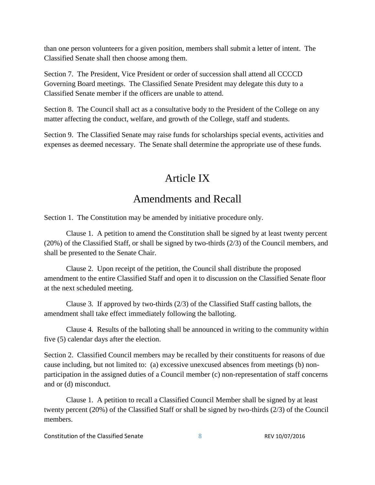than one person volunteers for a given position, members shall submit a letter of intent. The Classified Senate shall then choose among them.

Section 7. The President, Vice President or order of succession shall attend all CCCCD Governing Board meetings. The Classified Senate President may delegate this duty to a Classified Senate member if the officers are unable to attend.

Section 8. The Council shall act as a consultative body to the President of the College on any matter affecting the conduct, welfare, and growth of the College, staff and students.

Section 9. The Classified Senate may raise funds for scholarships special events, activities and expenses as deemed necessary. The Senate shall determine the appropriate use of these funds.

#### Article IX

#### Amendments and Recall

Section 1. The Constitution may be amended by initiative procedure only.

Clause 1. A petition to amend the Constitution shall be signed by at least twenty percent (20%) of the Classified Staff, or shall be signed by two-thirds (2/3) of the Council members, and shall be presented to the Senate Chair.

Clause 2. Upon receipt of the petition, the Council shall distribute the proposed amendment to the entire Classified Staff and open it to discussion on the Classified Senate floor at the next scheduled meeting.

Clause 3. If approved by two-thirds (2/3) of the Classified Staff casting ballots, the amendment shall take effect immediately following the balloting.

Clause 4. Results of the balloting shall be announced in writing to the community within five (5) calendar days after the election.

Section 2. Classified Council members may be recalled by their constituents for reasons of due cause including, but not limited to: (a) excessive unexcused absences from meetings (b) nonparticipation in the assigned duties of a Council member (c) non-representation of staff concerns and or (d) misconduct.

Clause 1. A petition to recall a Classified Council Member shall be signed by at least twenty percent (20%) of the Classified Staff or shall be signed by two-thirds (2/3) of the Council members.

Constitution of the Classified Senate 8 8 8 8 REV 10/07/2016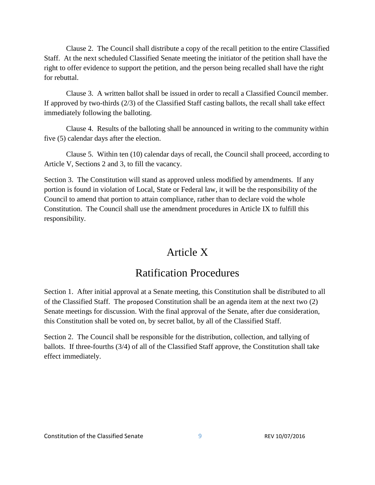Clause 2. The Council shall distribute a copy of the recall petition to the entire Classified Staff. At the next scheduled Classified Senate meeting the initiator of the petition shall have the right to offer evidence to support the petition, and the person being recalled shall have the right for rebuttal.

Clause 3. A written ballot shall be issued in order to recall a Classified Council member. If approved by two-thirds (2/3) of the Classified Staff casting ballots, the recall shall take effect immediately following the balloting.

Clause 4. Results of the balloting shall be announced in writing to the community within five (5) calendar days after the election.

Clause 5. Within ten (10) calendar days of recall, the Council shall proceed, according to Article V, Sections 2 and 3, to fill the vacancy.

Section 3. The Constitution will stand as approved unless modified by amendments. If any portion is found in violation of Local, State or Federal law, it will be the responsibility of the Council to amend that portion to attain compliance, rather than to declare void the whole Constitution. The Council shall use the amendment procedures in Article IX to fulfill this responsibility.

#### Article X

#### Ratification Procedures

Section 1. After initial approval at a Senate meeting, this Constitution shall be distributed to all of the Classified Staff. The proposed Constitution shall be an agenda item at the next two (2) Senate meetings for discussion. With the final approval of the Senate, after due consideration, this Constitution shall be voted on, by secret ballot, by all of the Classified Staff.

Section 2. The Council shall be responsible for the distribution, collection, and tallying of ballots. If three-fourths (3/4) of all of the Classified Staff approve, the Constitution shall take effect immediately.